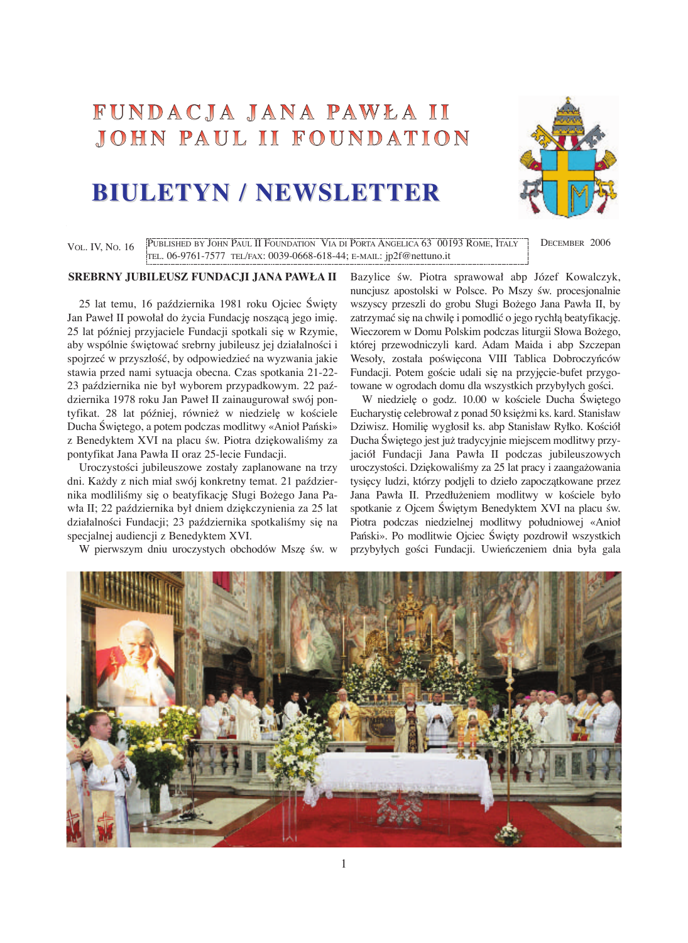## FUNDACJA JANA PAWŁA II JOHN PAUL II FOUNDATION

# **BIULETYN / NEWSLETTER BIULETYN / NEWSLETTER**



VOL. IV, NO. 16 PUBLISHED BY JOHN PAUL II FOUNDATION VIA DI PORTA ANGELICA 63 00193 ROME, ITALY DECEMBER 2006 TEL. 06-9761-7577 TEL/FAX: 0039-0668-618-44; E-MAIL: jp2f@nettuno.it

#### **SREBRNY JUBILEUSZ FUNDACJI JANA PAWŁA II**

25 lat temu, 16 października 1981 roku Ojciec Święty Jan Paweł II powołał do życia Fundację noszącą jego imię. 25 lat później przyjaciele Fundacji spotkali się w Rzymie, aby wspólnie świętować srebrny jubileusz jej działalności i spojrzeć w przyszłość, by odpowiedzieć na wyzwania jakie stawia przed nami sytuacja obecna. Czas spotkania 21-22- 23 paêdziernika nie był wyborem przypadkowym. 22 paêdziernika 1978 roku Jan Paweł II zainaugurował swój pontyfikat. 28 lat później, również w niedzielę w kościele Ducha Świętego, a potem podczas modlitwy «Anioł Pański» z Benedyktem XVI na placu św. Piotra dziękowaliśmy za pontyfikat Jana Pawła II oraz 25-lecie Fundacji.

Uroczystości jubileuszowe zostały zaplanowane na trzy dni. Každy z nich miał swój konkretny temat. 21 paêdziernika modliliśmy się o beatyfikację Sługi Bożego Jana Pawła II; 22 października był dniem dziękczynienia za 25 lat działalności Fundacji; 23 października spotkaliśmy się na specjalnej audiencji z Benedyktem XVI.

W pierwszym dniu uroczystych obchodów Mszę św. w

Bazylice św. Piotra sprawował abp Józef Kowalczyk, nuncjusz apostolski w Polsce. Po Mszy św. procesjonalnie wszyscy przeszli do grobu Sługi Božego Jana Pawła II, by zatrzymać się na chwilę i pomodlić o jego rychłą beatyfikację. Wieczorem w Domu Polskim podczas liturgii Słowa Božego, której przewodniczyli kard. Adam Maida i abp Szczepan Wesoły, została poświęcona VIII Tablica Dobroczyńców Fundacji. Potem goście udali się na przyjęcie-bufet przygotowane w ogrodach domu dla wszystkich przybyłych gości.

W niedzielę o godz. 10.00 w kościele Ducha Świętego Eucharystię celebrował z ponad 50 księżmi ks. kard. Stanisław Dziwisz. Homilię wygłosił ks. abp Stanisław Ryłko. Kościół Ducha Świętego jest już tradycyjnie miejscem modlitwy przyjaciół Fundacji Jana Pawła II podczas jubileuszowych uroczystości. Dziękowaliśmy za 25 lat pracy i zaangażowania tysięcy ludzi, którzy podjęli to dzieło zapoczątkowane przez Jana Pawła II. Przedłużeniem modlitwy w kościele było spotkanie z Ojcem Świętym Benedyktem XVI na placu św. Piotra podczas niedzielnej modlitwy południowej «Anioł Pański». Po modlitwie Ojciec Święty pozdrowił wszystkich przybyłych gości Fundacji. Uwieńczeniem dnia była gala

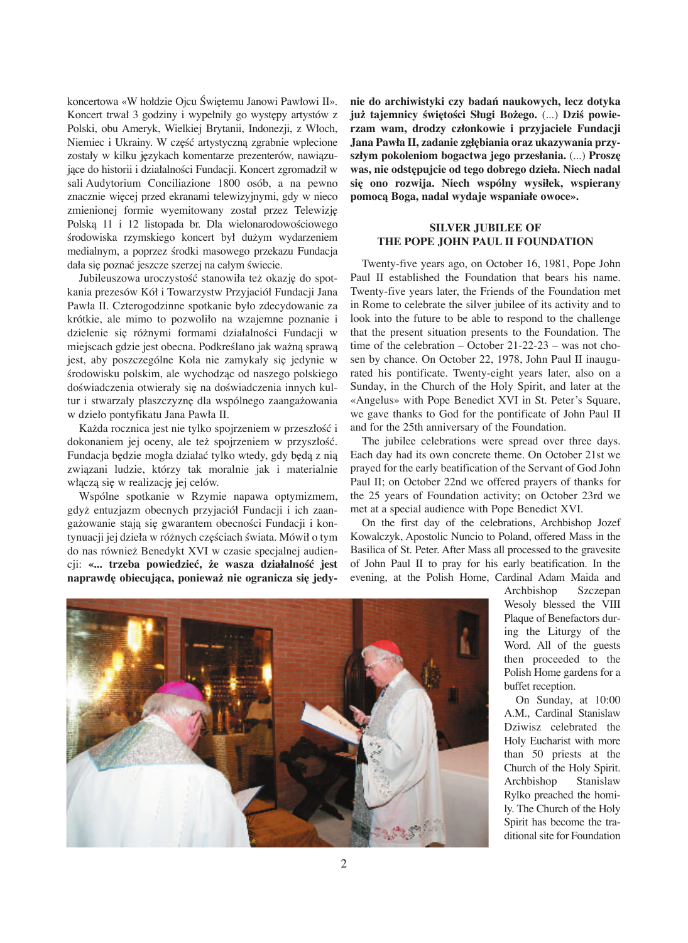koncertowa «W hołdzie Ojcu Świętemu Janowi Pawłowi II». Koncert trwał 3 godziny i wypełniły go występy artystów z Polski, obu Ameryk, Wielkiej Brytanii, Indonezji, z Włoch, Niemiec i Ukrainy. W część artystyczną zgrabnie wplecione zostały w kilku językach komentarze prezenterów, nawiązujące do historii i działalności Fundacji. Koncert zgromadził w sali Audytorium Conciliazione 1800 osób, a na pewno znacznie więcej przed ekranami telewizyjnymi, gdy w nieco zmienionej formie wyemitowany został przez Telewizję Polską 11 i 12 listopada br. Dla wielonarodowościowego środowiska rzymskiego koncert był dużym wydarzeniem medialnym, a poprzez środki masowego przekazu Fundacja dała się poznać jeszcze szerzej na całym świecie.

Jubileuszowa uroczystość stanowiła też okazję do spotkania prezesów Kół i Towarzystw Przyjaciół Fundacji Jana Pawła II. Czterogodzinne spotkanie było zdecydowanie za krótkie, ale mimo to pozwoliło na wzajemne poznanie i dzielenie się różnymi formami działalności Fundacji w miejscach gdzie jest obecna. Podkreślano jak ważną sprawą jest, aby poszczególne Koła nie zamykały się jedynie w środowisku polskim, ale wychodząc od naszego polskiego doświadczenia otwierały się na doświadczenia innych kultur i stwarzały płaszczyznę dla wspólnego zaangażowania w dzieło pontyfikatu Jana Pawła II.

Każda rocznica jest nie tylko spojrzeniem w przeszłość i dokonaniem jej oceny, ale też spojrzeniem w przyszłość. Fundacja będzie mogła działać tylko wtedy, gdy będą z nią zwiàzani ludzie, którzy tak moralnie jak i materialnie włączą się w realizację jej celów.

Wspólne spotkanie w Rzymie napawa optymizmem, gdyž entuzjazm obecnych przyjaciół Fundacji i ich zaangażowanie stają się gwarantem obecności Fundacji i kontynuacji jej dzieła w różnych częściach świata. Mówił o tym do nas równiež Benedykt XVI w czasie specjalnej audien $cji:$  «... trzeba powiedzieć, że wasza działalność jest **naprawd∏ obiecujàca, poniewa− nie ogranicza si∏ jedy-**

**nie do archiwistyki czy badaƒ naukowych, lecz dotyka już tajemnicy świętości Sługi Bożego.** (...) Dziś powie**rzam wam, drodzy członkowie i przyjaciele Fundacji Jana Pawła II, zadanie zgł∏biania oraz ukazywania przyszłym pokoleniom bogactwa jego przesłania.**  $(...)$  **Proszę was, nie odst∏pujcie od tego dobrego dzieła. Niech nadal si∏ ono rozwija. Niech wspólny wysiłek, wspierany pomocà Boga, nadal wydaje wspaniałe owoce».**

#### **SILVER JUBILEE OF THE POPE JOHN PAUL II FOUNDATION**

Twenty-five years ago, on October 16, 1981, Pope John Paul II established the Foundation that bears his name. Twenty-five years later, the Friends of the Foundation met in Rome to celebrate the silver jubilee of its activity and to look into the future to be able to respond to the challenge that the present situation presents to the Foundation. The time of the celebration – October 21-22-23 – was not chosen by chance. On October 22, 1978, John Paul II inaugurated his pontificate. Twenty-eight years later, also on a Sunday, in the Church of the Holy Spirit, and later at the «Angelus» with Pope Benedict XVI in St. Peter's Square, we gave thanks to God for the pontificate of John Paul II and for the 25th anniversary of the Foundation.

The jubilee celebrations were spread over three days. Each day had its own concrete theme. On October 21st we prayed for the early beatification of the Servant of God John Paul II; on October 22nd we offered prayers of thanks for the 25 years of Foundation activity; on October 23rd we met at a special audience with Pope Benedict XVI.

On the first day of the celebrations, Archbishop Jozef Kowalczyk, Apostolic Nuncio to Poland, offered Mass in the Basilica of St. Peter. After Mass all processed to the gravesite of John Paul II to pray for his early beatification. In the evening, at the Polish Home, Cardinal Adam Maida and



Archbishop Szczepan Wesoly blessed the VIII Plaque of Benefactors during the Liturgy of the Word. All of the guests then proceeded to the Polish Home gardens for a buffet reception.

On Sunday, at 10:00 A.M., Cardinal Stanislaw Dziwisz celebrated the Holy Eucharist with more than 50 priests at the Church of the Holy Spirit. Archbishop Stanislaw Rylko preached the homily. The Church of the Holy Spirit has become the traditional site for Foundation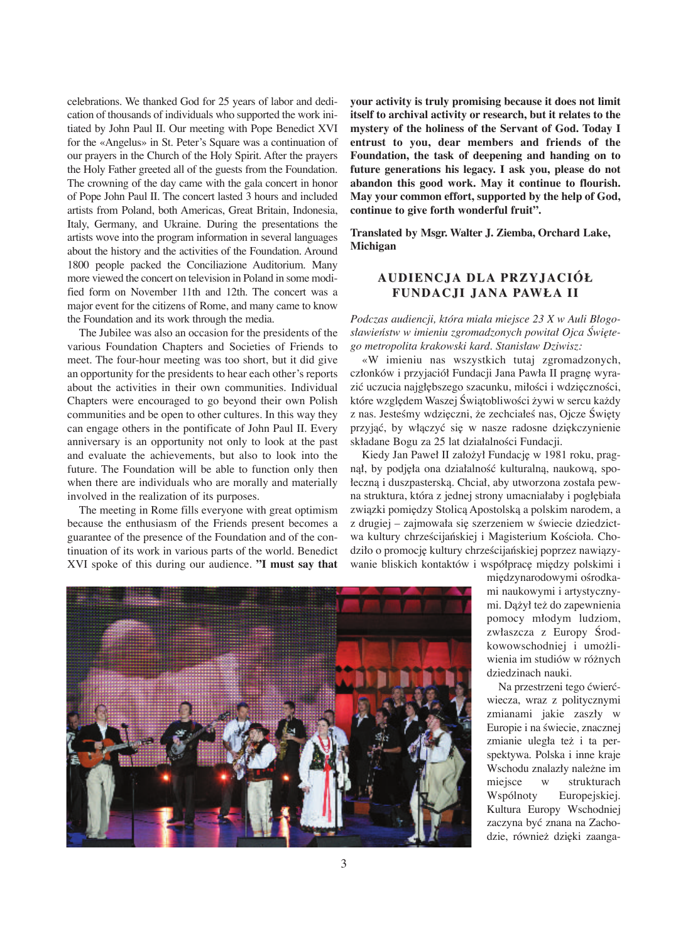celebrations. We thanked God for 25 years of labor and dedication of thousands of individuals who supported the work initiated by John Paul II. Our meeting with Pope Benedict XVI for the «Angelus» in St. Peter's Square was a continuation of our prayers in the Church of the Holy Spirit. After the prayers the Holy Father greeted all of the guests from the Foundation. The crowning of the day came with the gala concert in honor of Pope John Paul II. The concert lasted 3 hours and included artists from Poland, both Americas, Great Britain, Indonesia, Italy, Germany, and Ukraine. During the presentations the artists wove into the program information in several languages about the history and the activities of the Foundation. Around 1800 people packed the Conciliazione Auditorium. Many more viewed the concert on television in Poland in some modified form on November 11th and 12th. The concert was a major event for the citizens of Rome, and many came to know the Foundation and its work through the media.

The Jubilee was also an occasion for the presidents of the various Foundation Chapters and Societies of Friends to meet. The four-hour meeting was too short, but it did give an opportunity for the presidents to hear each other's reports about the activities in their own communities. Individual Chapters were encouraged to go beyond their own Polish communities and be open to other cultures. In this way they can engage others in the pontificate of John Paul II. Every anniversary is an opportunity not only to look at the past and evaluate the achievements, but also to look into the future. The Foundation will be able to function only then when there are individuals who are morally and materially involved in the realization of its purposes.

The meeting in Rome fills everyone with great optimism because the enthusiasm of the Friends present becomes a guarantee of the presence of the Foundation and of the continuation of its work in various parts of the world. Benedict XVI spoke of this during our audience. **"I must say that** **your activity is truly promising because it does not limit itself to archival activity or research, but it relates to the mystery of the holiness of the Servant of God. Today I entrust to you, dear members and friends of the Foundation, the task of deepening and handing on to future generations his legacy. I ask you, please do not abandon this good work. May it continue to flourish. May your common effort, supported by the help of God, continue to give forth wonderful fruit".**

**Translated by Msgr. Walter J. Ziemba, Orchard Lake, Michigan**

## **AUDIENCJA DLA PRZYJACIÓŁ FUNDACJI JANA PAWŁ A II**

*Podczas audiencji, która miała miejsce 23 X w Auli Błogosławieƒstw w imieniu zgromadzonych powitał Ojca Âwi∏tego metropolita krakowski kard. Stanisław Dziwisz:*

«W imieniu nas wszystkich tutaj zgromadzonych, członków i przyjaciół Fundacji Jana Pawła II pragnę wyrazić uczucia najgłębszego szacunku, miłości i wdzięczności, które względem Waszej Świątobliwości żywi w sercu każdy z nas. Jesteśmy wdzięczni, że zechciałeś nas, Ojcze Święty przyjąć, by włączyć się w nasze radosne dziękczynienie składane Bogu za 25 lat działalności Fundacji.

Kiedy Jan Paweł II założył Fundację w 1981 roku, pragnął, by podjęła ona działalność kulturalną, naukową, społeczną i duszpasterską. Chciał, aby utworzona została pewna struktura, która z jednej strony umacniałaby i pogłębiała związki pomiędzy Stolicą Apostolską a polskim narodem, a z drugiej – zajmowała się szerzeniem w świecie dziedzictwa kultury chrześcijańskiej i Magisterium Kościoła. Chodziło o promocję kultury chrześcijańskiej poprzez nawiązywanie bliskich kontaktów i współpracę między polskimi i



międzynarodowymi ośrodkami naukowymi i artystycznymi. Dàžył tež do zapewnienia pomocy młodym ludziom, zwłaszcza z Europy Ârodkowowschodniej i umožliwienia im studiów w róžnych dziedzinach nauki.

Na przestrzeni tego çwierçwiecza, wraz z politycznymi zmianami jakie zaszły w Europie i na świecie, znacznej zmianie uległa tež i ta perspektywa. Polska i inne kraje Wschodu znalazły naležne im miejsce w strukturach Wspólnoty Europejskiej. Kultura Europy Wschodniej zaczyna być znana na Zachodzie, również dzięki zaanga-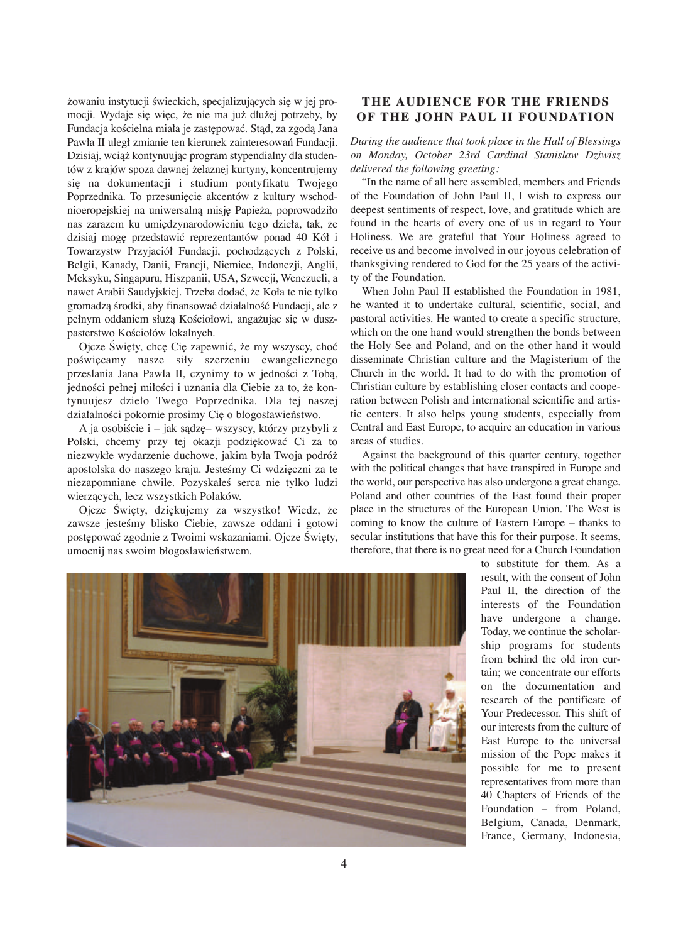żowaniu instytucji świeckich, specjalizujących się w jej promocji. Wydaje się więc, że nie ma już dłużej potrzeby, by Fundacja kościelna miała je zastępować. Stąd, za zgodą Jana Pawła II uległ zmianie ten kierunek zainteresowań Fundacji. Dzisiaj, wciàž kontynuujàc program stypendialny dla studentów z krajów spoza dawnej želaznej kurtyny, koncentrujemy się na dokumentacji i studium pontyfikatu Twojego Poprzednika. To przesunięcie akcentów z kultury wschodnioeropejskiej na uniwersalną misję Papieża, poprowadziło nas zarazem ku umiędzynarodowieniu tego dzieła, tak, że dzisiaj mogę przedstawić reprezentantów ponad 40 Kół i Towarzystw Przyjaciół Fundacji, pochodzących z Polski, Belgii, Kanady, Danii, Francji, Niemiec, Indonezji, Anglii, Meksyku, Singapuru, Hiszpanii, USA, Szwecji, Wenezueli, a nawet Arabii Saudyjskiej. Trzeba dodaç, že Koła te nie tylko gromadzą środki, aby finansować działalność Fundacji, ale z pełnym oddaniem służą Kościołowi, angażując się w duszpasterstwo Kościołów lokalnych.

Ojcze Święty, chcę Cię zapewnić, że my wszyscy, choć poświęcamy nasze siły szerzeniu ewangelicznego przesłania Jana Pawła II, czynimy to w jedności z Tobą, jedności pełnej miłości i uznania dla Ciebie za to, że kontynuujesz dzieło Twego Poprzednika. Dla tej naszej działalności pokornie prosimy Cię o błogosławieństwo.

A ja osobiście i – jak sądzę– wszyscy, którzy przybyli z Polski, chcemy przy tej okazji podziękować Ci za to niezwykłe wydarzenie duchowe, jakim była Twoja podróž apostolska do naszego kraju. Jesteśmy Ci wdzięczni za te niezapomniane chwile. Pozyskałeś serca nie tylko ludzi wierzàcych, lecz wszystkich Polaków.

Ojcze Święty, dziękujemy za wszystko! Wiedz, że zawsze jesteśmy blisko Ciebie, zawsze oddani i gotowi postępować zgodnie z Twoimi wskazaniami. Ojcze Święty, umocnij nas swoim błogosławieństwem.

## **THE AUDIENCE FOR THE FRIENDS OF THE JOHN PAUL II FOUNDATION**

*During the audience that took place in the Hall of Blessings on Monday, October 23rd Cardinal Stanislaw Dziwisz delivered the following greeting:*

"In the name of all here assembled, members and Friends of the Foundation of John Paul II, I wish to express our deepest sentiments of respect, love, and gratitude which are found in the hearts of every one of us in regard to Your Holiness. We are grateful that Your Holiness agreed to receive us and become involved in our joyous celebration of thanksgiving rendered to God for the 25 years of the activity of the Foundation.

When John Paul II established the Foundation in 1981, he wanted it to undertake cultural, scientific, social, and pastoral activities. He wanted to create a specific structure, which on the one hand would strengthen the bonds between the Holy See and Poland, and on the other hand it would disseminate Christian culture and the Magisterium of the Church in the world. It had to do with the promotion of Christian culture by establishing closer contacts and cooperation between Polish and international scientific and artistic centers. It also helps young students, especially from Central and East Europe, to acquire an education in various areas of studies.

Against the background of this quarter century, together with the political changes that have transpired in Europe and the world, our perspective has also undergone a great change. Poland and other countries of the East found their proper place in the structures of the European Union. The West is coming to know the culture of Eastern Europe – thanks to secular institutions that have this for their purpose. It seems, therefore, that there is no great need for a Church Foundation



to substitute for them. As a result, with the consent of John Paul II, the direction of the interests of the Foundation have undergone a change. Today, we continue the scholarship programs for students from behind the old iron curtain; we concentrate our efforts on the documentation and research of the pontificate of Your Predecessor. This shift of our interests from the culture of East Europe to the universal mission of the Pope makes it possible for me to present representatives from more than 40 Chapters of Friends of the Foundation – from Poland, Belgium, Canada, Denmark, France, Germany, Indonesia,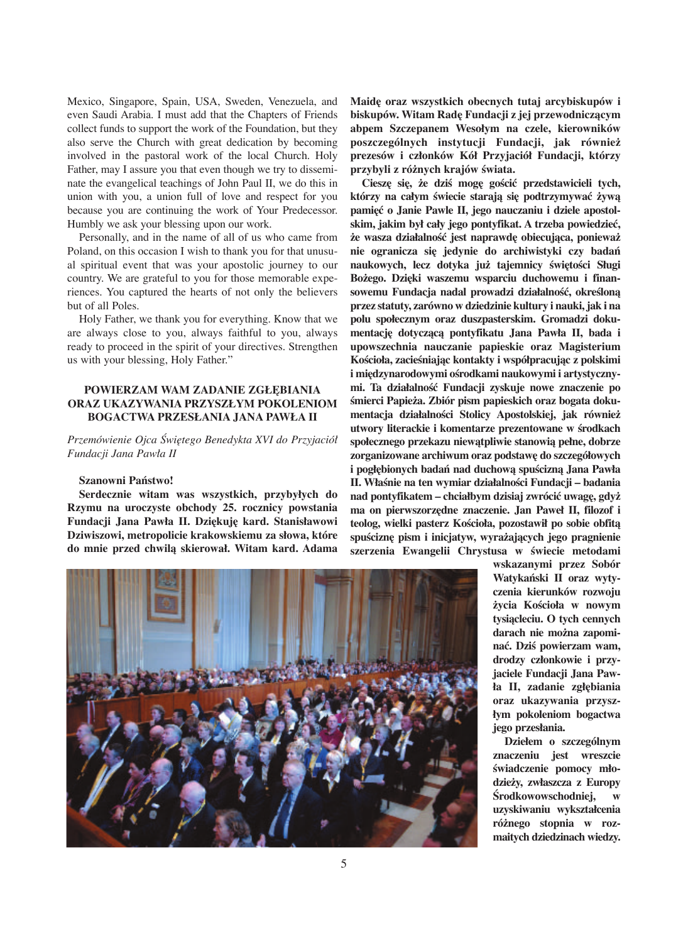Mexico, Singapore, Spain, USA, Sweden, Venezuela, and even Saudi Arabia. I must add that the Chapters of Friends collect funds to support the work of the Foundation, but they also serve the Church with great dedication by becoming involved in the pastoral work of the local Church. Holy Father, may I assure you that even though we try to disseminate the evangelical teachings of John Paul II, we do this in union with you, a union full of love and respect for you because you are continuing the work of Your Predecessor. Humbly we ask your blessing upon our work.

Personally, and in the name of all of us who came from Poland, on this occasion I wish to thank you for that unusual spiritual event that was your apostolic journey to our country. We are grateful to you for those memorable experiences. You captured the hearts of not only the believers but of all Poles.

Holy Father, we thank you for everything. Know that we are always close to you, always faithful to you, always ready to proceed in the spirit of your directives. Strengthen us with your blessing, Holy Father."

### **POWIERZAM WAM ZADANIE ZGŁ¢BIANIA ORAZ UKAZYWANIA PRZYSZŁYM POKOLENIOM BOGACTWA PRZESŁANIA JANA PAWŁA II**

*Przemówienie Ojca Âwi∏tego Benedykta XVI do Przyjaciół Fundacji Jana Pawła II*

#### **Szanowni Paƒstwo!**

**Serdecznie witam was wszystkich, przybyłych do Rzymu na uroczyste obchody 25. rocznicy powstania Fundacji Jana Pawła II. Dzi∏kuj∏ kard. Stanisławowi Dziwiszowi, metropolicie krakowskiemu za słowa, które do mnie przed chwilà skierował. Witam kard. Adama** **Maid∏ oraz wszystkich obecnych tutaj arcybiskupów i biskupów. Witam Rad∏ Fundacji z jej przewodniczàcym abpem Szczepanem Wesołym na czele, kierowników poszczególnych instytucji Fundacji, jak równie− prezesów i członków Kół Przyjaciół Fundacji, którzy** przybyli z różnych krajów świata.

**Ciesz∏ si∏, −e dziÊ mog∏ goÊcić przedstawicieli tych, którzy na całym Êwiecie starajà si∏ podtrzymywać −ywà pami∏ć o Janie Pawle II, jego nauczaniu i dziele apostolskim, jakim był cały jego pontyfikat. A trzeba powiedzieć,**  $i$ **że wasza działalność jest naprawdę obiecująca, ponieważ nie ogranicza si∏ jedynie do archiwistyki czy badaƒ naukowych, lecz dotyka ju− tajemnicy Êwi∏toÊci Sługi Bo−ego. Dzi∏ki waszemu wsparciu duchowemu i finansowemu Fundacja nadal prowadzi działalnoÊć, okreÊlonà przez statuty, zarówno w dziedzinie kultury i nauki, jak i na polu społecznym oraz duszpasterskim. Gromadzi dokumentacj∏ dotyczàcà pontyfikatu Jana Pawła II, bada i upowszechnia nauczanie papieskie oraz Magisterium KoÊcioła, zacieÊniajàc kontakty i współpracujàc z polskimi** i międzynarodowymi ośrodkami naukowymi i artystyczny**mi. Ta działalnoÊć Fundacji zyskuje nowe znaczenie po Êmierci Papie−a. Zbiór pism papieskich oraz bogata doku**mentacja działalności Stolicy Apostolskiej, jak również utwory literackie i komentarze prezentowane w środkach **społecznego przekazu niewàtpliwie stanowià pełne, dobrze zorganizowane archiwum oraz podstaw∏ do szczegółowych i pogłębionych badań nad duchową spuścizną Jana Pawła II. WłaÊnie na ten wymiar działalnoÊci Fundacji – badania nad pontyfikatem – chciałbym dzisiaj zwrócić uwag∏, gdy− ma on pierwszorz∏dne znaczenie. Jan Paweł II, filozof i teolog, wielki pasterz KoÊcioła, pozostawił po sobie obfità spuÊcizn∏ pism i inicjatyw, wyra−ajàcych jego pragnienie** szerzenia Ewangelii Chrystusa w świecie metodami



**wskazanymi przez Sobór** Watykański II oraz wyty**czenia kierunków rozwoju −ycia KoÊcioła w nowym tysiàcleciu. O tych cennych darach nie mo−na zapominać. DziÊ powierzam wam, drodzy członkowie i przyjaciele Fundacji Jana Pawła II, zadanie zgł∏biania oraz ukazywania przyszłym pokoleniom bogactwa jego przesłania.**

**Dziełem o szczególnym znaczeniu jest wreszcie Êwiadczenie pomocy młodzie−y, zwłaszcza z Europy Ârodkowowschodniej, w uzyskiwaniu wykształcenia ró−nego stopnia w rozmaitych dziedzinach wiedzy.**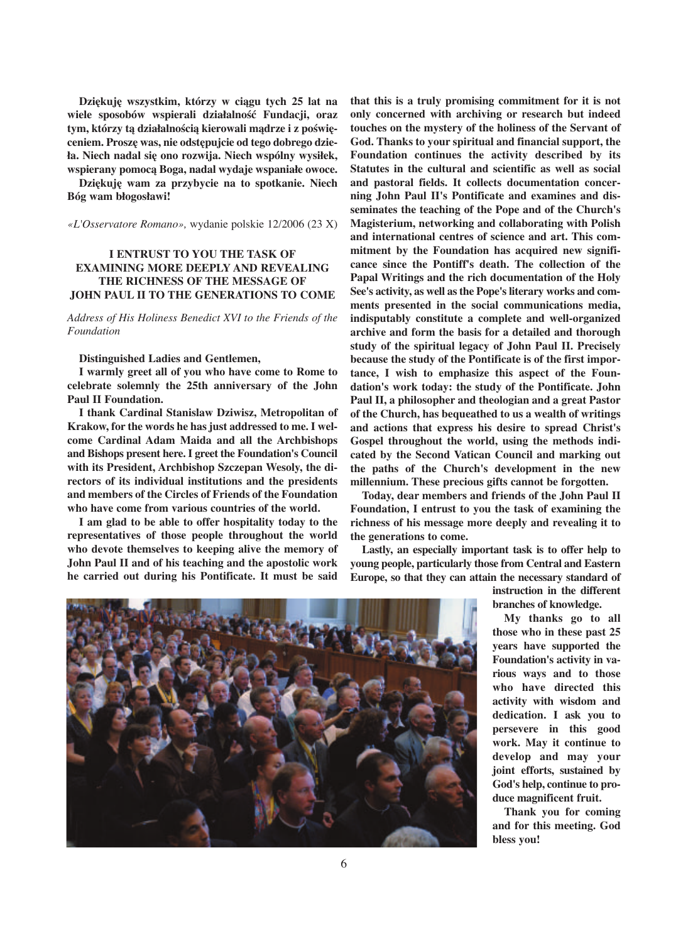**Dzi∏kuj∏ wszystkim, którzy w ciàgu tych 25 lat na wiele sposobów wspierali działalnoÊć Fundacji, oraz** tym, którzy tą działalnością kierowali mądrze i z poświę**ceniem. Prosz∏ was, nie odst∏pujcie od tego dobrego dzieła. Niech nadal si∏ ono rozwija. Niech wspólny wysiłek, wspierany pomocà Boga, nadal wydaje wspaniałe owoce.**

**Dzi∏kuj∏ wam za przybycie na to spotkanie. Niech Bóg wam błogosławi!**

*«L'Osservatore Romano»,* wydanie polskie 12/2006 (23 X)

## **I ENTRUST TO YOU THE TASK OF EXAMINING MORE DEEPLY AND REVEALING THE RICHNESS OF THE MESSAGE OF JOHN PAUL II TO THE GENERATIONS TO COME**

*Address of His Holiness Benedict XVI to the Friends of the Foundation*

#### **Distinguished Ladies and Gentlemen,**

**I warmly greet all of you who have come to Rome to celebrate solemnly the 25th anniversary of the John Paul II Foundation.** 

**I thank Cardinal Stanislaw Dziwisz, Metropolitan of Krakow, for the words he has just addressed to me. I welcome Cardinal Adam Maida and all the Archbishops and Bishops present here. I greet the Foundation's Council with its President, Archbishop Szczepan Wesoly, the directors of its individual institutions and the presidents and members of the Circles of Friends of the Foundation who have come from various countries of the world.** 

**I am glad to be able to offer hospitality today to the representatives of those people throughout the world who devote themselves to keeping alive the memory of John Paul II and of his teaching and the apostolic work he carried out during his Pontificate. It must be said** **that this is a truly promising commitment for it is not only concerned with archiving or research but indeed touches on the mystery of the holiness of the Servant of God. Thanks to your spiritual and financial support, the Foundation continues the activity described by its Statutes in the cultural and scientific as well as social and pastoral fields. It collects documentation concerning John Paul II's Pontificate and examines and disseminates the teaching of the Pope and of the Church's Magisterium, networking and collaborating with Polish and international centres of science and art. This commitment by the Foundation has acquired new significance since the Pontiff's death. The collection of the Papal Writings and the rich documentation of the Holy See's activity, as well as the Pope's literary works and comments presented in the social communications media, indisputably constitute a complete and well-organized archive and form the basis for a detailed and thorough study of the spiritual legacy of John Paul II. Precisely because the study of the Pontificate is of the first importance, I wish to emphasize this aspect of the Foundation's work today: the study of the Pontificate. John Paul II, a philosopher and theologian and a great Pastor of the Church, has bequeathed to us a wealth of writings and actions that express his desire to spread Christ's Gospel throughout the world, using the methods indicated by the Second Vatican Council and marking out the paths of the Church's development in the new millennium. These precious gifts cannot be forgotten.**

**Today, dear members and friends of the John Paul II Foundation, I entrust to you the task of examining the richness of his message more deeply and revealing it to the generations to come.** 

**Lastly, an especially important task is to offer help to young people, particularly those from Central and Eastern Europe, so that they can attain the necessary standard of**

> **instruction in the different branches of knowledge.**

**My thanks go to all those who in these past 25 years have supported the Foundation's activity in various ways and to those who have directed this activity with wisdom and dedication. I ask you to persevere in this good work. May it continue to develop and may your joint efforts, sustained by God's help, continue to produce magnificent fruit.** 

**Thank you for coming and for this meeting. God bless you!** 

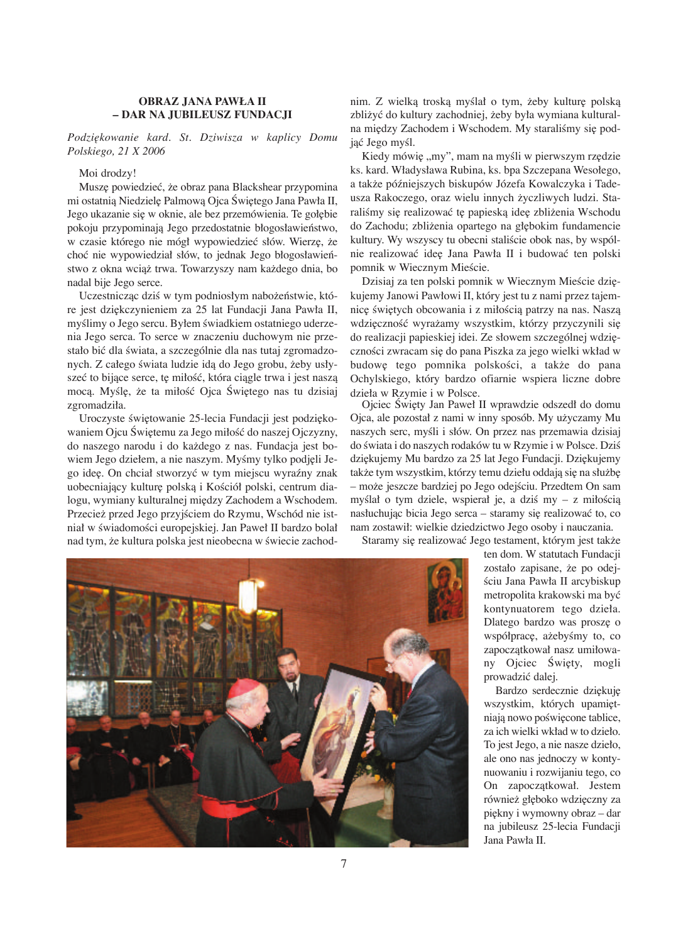#### **OBRAZ JANA PAWŁA II – DAR NA JUBILEUSZ FUNDACJI**

### *Podzi∏kowanie kard. St. Dziwisza w kaplicy Domu Polskiego, 21 X 2006*

#### Moi drodzy!

Muszę powiedzieć, że obraz pana Blackshear przypomina mi ostatnią Niedzielę Palmową Ojca Świętego Jana Pawła II, Jego ukazanie się w oknie, ale bez przemówienia. Te gołębie pokoju przypominają Jego przedostatnie błogosławieństwo, w czasie którego nie mógł wypowiedzieć słów. Wierzę, że choç nie wypowiedział słów, to jednak Jego błogosławieƒstwo z okna wciàž trwa. Towarzyszy nam každego dnia, bo nadal bije Jego serce.

Uczestnicząc dziś w tym podniosłym nabożeństwie, które jest dziękczynieniem za 25 lat Fundacji Jana Pawła II, myślimy o Jego sercu. Byłem świadkiem ostatniego uderzenia Jego serca. To serce w znaczeniu duchowym nie przestało bić dla świata, a szczególnie dla nas tutaj zgromadzonych. Z całego świata ludzie idą do Jego grobu, żeby usłyszeć to bijące serce, tę miłość, która ciągle trwa i jest naszą mocą. Myślę, że ta miłość Ojca Świętego nas tu dzisiaj zgromadziła.

Uroczyste świętowanie 25-lecia Fundacji jest podziękowaniem Ojcu Świętemu za Jego miłość do naszej Ojczyzny, do naszego narodu i do každego z nas. Fundacja jest bowiem Jego dziełem, a nie naszym. Myśmy tylko podjęli Jego ide∏. On chciał stworzyç w tym miejscu wyraêny znak uobecniający kulturę polską i Kościół polski, centrum dialogu, wymiany kulturalnej między Zachodem a Wschodem. Przecież przed Jego przyjściem do Rzymu, Wschód nie istniał w świadomości europejskiej. Jan Paweł II bardzo bolał nad tym, że kultura polska jest nieobecna w świecie zachod-

nim. Z wielką troską myślał o tym, żeby kulturę polską zbližyç do kultury zachodniej, žeby była wymiana kulturalna między Zachodem i Wschodem. My staraliśmy się podjąć Jego myśl.

Kiedy mówię "my", mam na myśli w pierwszym rzędzie ks. kard. Władysława Rubina, ks. bpa Szczepana Wesołego, a takže póêniejszych biskupów Józefa Kowalczyka i Tadeusza Rakoczego, oraz wielu innych žyczliwych ludzi. Staraliśmy się realizować tę papieską ideę zbliżenia Wschodu do Zachodu; zbliżenia opartego na głębokim fundamencie kultury. Wy wszyscy tu obecni staliście obok nas, by wspólnie realizować ideę Jana Pawła II i budować ten polski pomnik w Wiecznym Mieście.

Dzisiaj za ten polski pomnik w Wiecznym Mieście dziękujemy Janowi Pawłowi II, który jest tu z nami przez tajemnicę świętych obcowania i z miłością patrzy na nas. Naszą wdzięczność wyrażamy wszystkim, którzy przyczynili się do realizacji papieskiej idei. Ze słowem szczególnej wdzięczności zwracam się do pana Piszka za jego wielki wkład w budowę tego pomnika polskości, a także do pana Ochylskiego, który bardzo ofiarnie wspiera liczne dobre dzieła w Rzymie i w Polsce.

Ojciec Święty Jan Paweł II wprawdzie odszedł do domu Ojca, ale pozostał z nami w inny sposób. My užyczamy Mu naszych serc, myśli i słów. On przez nas przemawia dzisiaj do świata i do naszych rodaków tu w Rzymie i w Polsce. Dziś dziękujemy Mu bardzo za 25 lat Jego Fundacji. Dziękujemy także tym wszystkim, którzy temu dziełu oddają się na służbę – może jeszcze bardziej po Jego odejściu. Przedtem On sam myślał o tym dziele, wspierał je, a dziś my – z miłością nasłuchując bicia Jego serca – staramy się realizować to, co nam zostawił: wielkie dziedzictwo Jego osoby i nauczania.

Staramy się realizować Jego testament, którym jest także



ten dom. W statutach Fundacji zostało zapisane, že po odejściu Jana Pawła II arcybiskup metropolita krakowski ma byç kontynuatorem tego dzieła. Dlatego bardzo was proszę o współpracę, ażebyśmy to, co zapoczątkował nasz umiłowany Ojciec Święty, mogli prowadziç dalej.

Bardzo serdecznie dziękuję wszystkim, których upamiętniają nowo poświęcone tablice, za ich wielki wkład w to dzieło. To jest Jego, a nie nasze dzieło, ale ono nas jednoczy w kontynuowaniu i rozwijaniu tego, co On zapoczàtkował. Jestem również głęboko wdzięczny za pi∏kny i wymowny obraz – dar na jubileusz 25-lecia Fundacji Jana Pawła II.